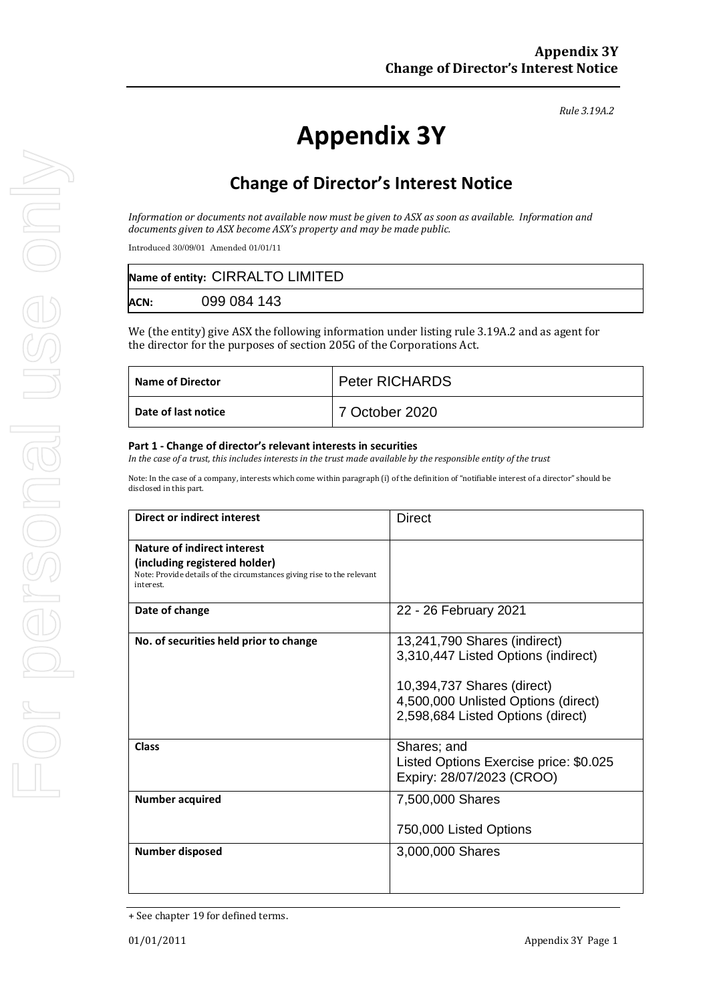*Rule 3.19A.2*

# **Appendix 3Y**

# **Change of Director's Interest Notice**

*Information or documents not available now must be given to ASX as soon as available. Information and documents given to ASX become ASX's property and may be made public.*

Introduced 30/09/01 Amended 01/01/11

| Name of entity: CIRRALTO LIMITED |             |  |
|----------------------------------|-------------|--|
| <b>ACN:</b>                      | 099 084 143 |  |

We (the entity) give ASX the following information under listing rule 3.19A.2 and as agent for the director for the purposes of section 205G of the Corporations Act.

| <b>Name of Director</b> | <b>Peter RICHARDS</b> |
|-------------------------|-----------------------|
| Date of last notice     | 7 October 2020        |

#### **Part 1 - Change of director's relevant interests in securities**

*In the case of a trust, this includes interests in the trust made available by the responsible entity of the trust*

Note: In the case of a company, interests which come within paragraph (i) of the definition of "notifiable interest of a director" should be disclosed in this part.

| <b>Direct or indirect interest</b>                                                                                                                         | <b>Direct</b>                                                                                                                                                                 |  |
|------------------------------------------------------------------------------------------------------------------------------------------------------------|-------------------------------------------------------------------------------------------------------------------------------------------------------------------------------|--|
| <b>Nature of indirect interest</b><br>(including registered holder)<br>Note: Provide details of the circumstances giving rise to the relevant<br>interest. |                                                                                                                                                                               |  |
| Date of change                                                                                                                                             | 22 - 26 February 2021                                                                                                                                                         |  |
| No. of securities held prior to change                                                                                                                     | 13,241,790 Shares (indirect)<br>3,310,447 Listed Options (indirect)<br>10,394,737 Shares (direct)<br>4,500,000 Unlisted Options (direct)<br>2,598,684 Listed Options (direct) |  |
| Class                                                                                                                                                      | Shares; and<br>Listed Options Exercise price: \$0.025<br>Expiry: 28/07/2023 (CROO)                                                                                            |  |
| <b>Number acquired</b>                                                                                                                                     | 7,500,000 Shares<br>750,000 Listed Options                                                                                                                                    |  |
| Number disposed                                                                                                                                            | 3,000,000 Shares                                                                                                                                                              |  |

<sup>+</sup> See chapter 19 for defined terms.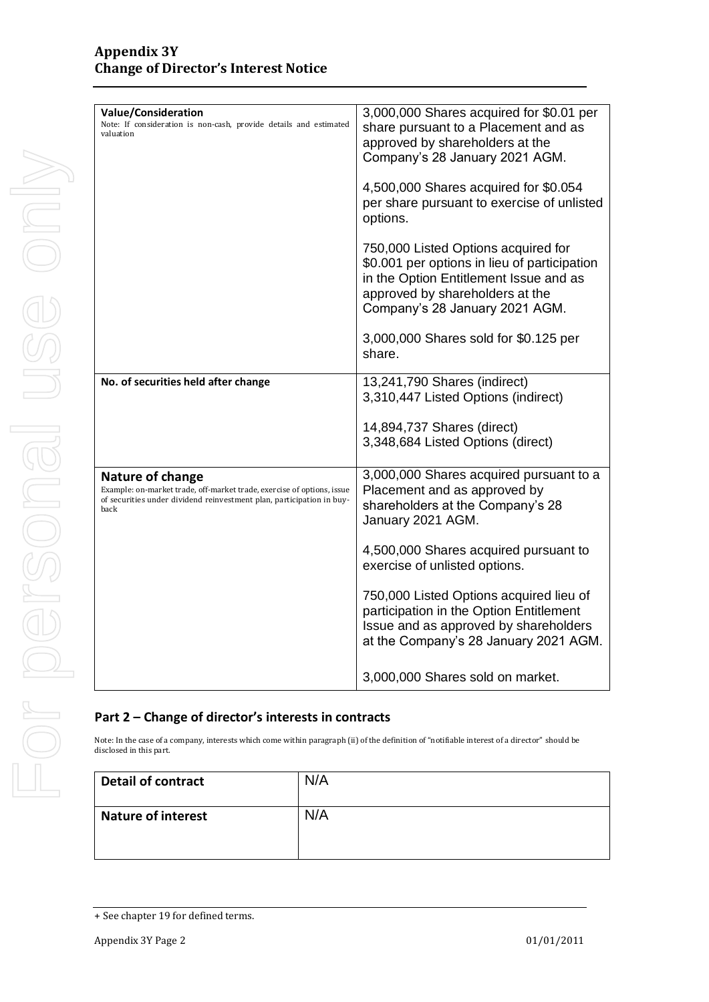| <b>Value/Consideration</b><br>Note: If consideration is non-cash, provide details and estimated<br>valuation                                                                       | 3,000,000 Shares acquired for \$0.01 per<br>share pursuant to a Placement and as<br>approved by shareholders at the<br>Company's 28 January 2021 AGM.<br>4,500,000 Shares acquired for \$0.054     |
|------------------------------------------------------------------------------------------------------------------------------------------------------------------------------------|----------------------------------------------------------------------------------------------------------------------------------------------------------------------------------------------------|
|                                                                                                                                                                                    | per share pursuant to exercise of unlisted<br>options.                                                                                                                                             |
|                                                                                                                                                                                    | 750,000 Listed Options acquired for<br>\$0.001 per options in lieu of participation<br>in the Option Entitlement Issue and as<br>approved by shareholders at the<br>Company's 28 January 2021 AGM. |
|                                                                                                                                                                                    | 3,000,000 Shares sold for \$0.125 per<br>share.                                                                                                                                                    |
| No. of securities held after change                                                                                                                                                | 13,241,790 Shares (indirect)<br>3,310,447 Listed Options (indirect)                                                                                                                                |
|                                                                                                                                                                                    | 14,894,737 Shares (direct)<br>3,348,684 Listed Options (direct)                                                                                                                                    |
| <b>Nature of change</b><br>Example: on-market trade, off-market trade, exercise of options, issue<br>of securities under dividend reinvestment plan, participation in buy-<br>back | 3,000,000 Shares acquired pursuant to a<br>Placement and as approved by<br>shareholders at the Company's 28<br>January 2021 AGM.                                                                   |
|                                                                                                                                                                                    | 4,500,000 Shares acquired pursuant to<br>exercise of unlisted options.                                                                                                                             |
|                                                                                                                                                                                    | 750,000 Listed Options acquired lieu of<br>participation in the Option Entitlement<br>Issue and as approved by shareholders<br>at the Company's 28 January 2021 AGM.                               |
|                                                                                                                                                                                    | 3,000,000 Shares sold on market.                                                                                                                                                                   |

### **Part 2 – Change of director's interests in contracts**

Note: In the case of a company, interests which come within paragraph (ii) of the definition of "notifiable interest of a director" should be disclosed in this part.

| <b>Detail of contract</b> | N/A |
|---------------------------|-----|
| <b>Nature of interest</b> | N/A |

<sup>+</sup> See chapter 19 for defined terms.